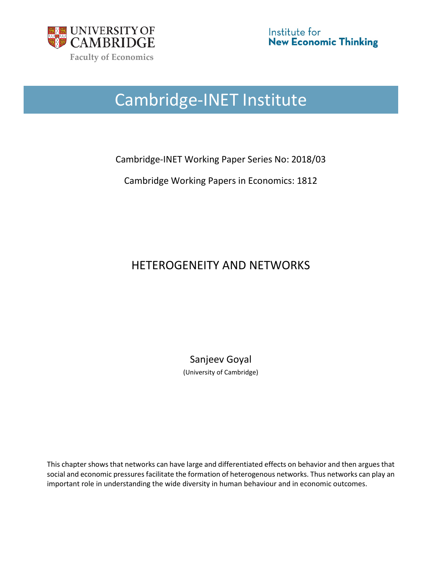

# Cambridge-INET Institute

## Cambridge-INET Working Paper Series No: 2018/03

Cambridge Working Papers in Economics: 1812

## HETEROGENEITY AND NETWORKS

Sanjeev Goyal

(University of Cambridge)

This chapter shows that networks can have large and differentiated effects on behavior and then argues that social and economic pressures facilitate the formation of heterogenous networks. Thus networks can play an important role in understanding the wide diversity in human behaviour and in economic outcomes.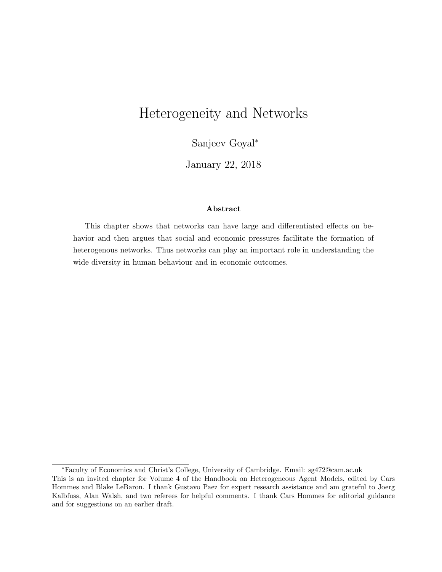## Heterogeneity and Networks

Sanjeev Goyal<sup>∗</sup>

January 22, 2018

#### Abstract

This chapter shows that networks can have large and differentiated effects on behavior and then argues that social and economic pressures facilitate the formation of heterogenous networks. Thus networks can play an important role in understanding the wide diversity in human behaviour and in economic outcomes.

<sup>∗</sup>Faculty of Economics and Christ's College, University of Cambridge. Email: sg472@cam.ac.uk This is an invited chapter for Volume 4 of the Handbook on Heterogeneous Agent Models, edited by Cars Hommes and Blake LeBaron. I thank Gustavo Paez for expert research assistance and am grateful to Joerg Kalbfuss, Alan Walsh, and two referees for helpful comments. I thank Cars Hommes for editorial guidance and for suggestions on an earlier draft.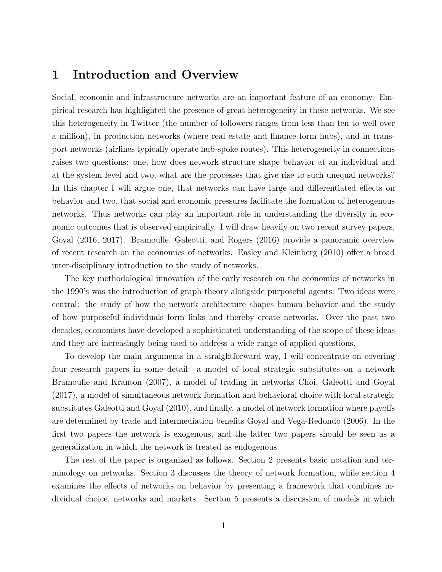## 1 Introduction and Overview

Social, economic and infrastructure networks are an important feature of an economy. Empirical research has highlighted the presence of great heterogeneity in these networks. We see this heterogeneity in Twitter (the number of followers ranges from less than ten to well over a million), in production networks (where real estate and finance form hubs), and in transport networks (airlines typically operate hub-spoke routes). This heterogeneity in connections raises two questions: one, how does network structure shape behavior at an individual and at the system level and two, what are the processes that give rise to such unequal networks? In this chapter I will argue one, that networks can have large and differentiated effects on behavior and two, that social and economic pressures facilitate the formation of heterogenous networks. Thus networks can play an important role in understanding the diversity in economic outcomes that is observed empirically. I will draw heavily on two recent survey papers, Goyal (2016, 2017). Bramoulle, Galeotti, and Rogers (2016) provide a panoramic overview of recent research on the economics of networks. Easley and Kleinberg (2010) offer a broad inter-disciplinary introduction to the study of networks.

The key methodological innovation of the early research on the economics of networks in the 1990's was the introduction of graph theory alongside purposeful agents. Two ideas were central: the study of how the network architecture shapes human behavior and the study of how purposeful individuals form links and thereby create networks. Over the past two decades, economists have developed a sophisticated understanding of the scope of these ideas and they are increasingly being used to address a wide range of applied questions.

To develop the main arguments in a straightforward way, I will concentrate on covering four research papers in some detail: a model of local strategic substitutes on a network Bramoulle and Kranton (2007), a model of trading in networks Choi, Galeotti and Goyal (2017), a model of simultaneous network formation and behavioral choice with local strategic substitutes Galeotti and Goyal (2010), and finally, a model of network formation where payoffs are determined by trade and intermediation benefits Goyal and Vega-Redondo (2006). In the first two papers the network is exogenous, and the latter two papers should be seen as a generalization in which the network is treated as endogenous.

The rest of the paper is organized as follows. Section 2 presents basic notation and terminology on networks. Section 3 discusses the theory of network formation, while section 4 examines the effects of networks on behavior by presenting a framework that combines individual choice, networks and markets. Section 5 presents a discussion of models in which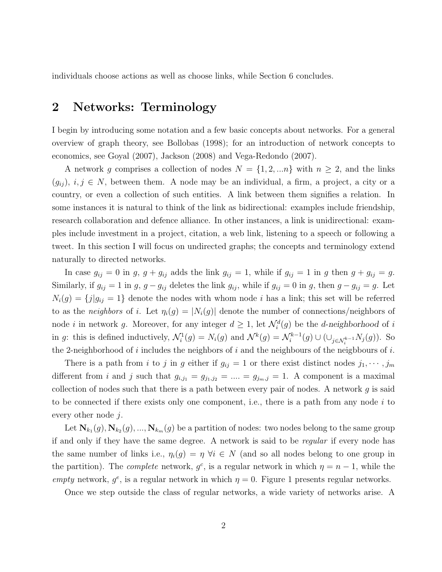individuals choose actions as well as choose links, while Section 6 concludes.

### 2 Networks: Terminology

I begin by introducing some notation and a few basic concepts about networks. For a general overview of graph theory, see Bollobas (1998); for an introduction of network concepts to economics, see Goyal (2007), Jackson (2008) and Vega-Redondo (2007).

A network g comprises a collection of nodes  $N = \{1, 2, ...n\}$  with  $n \geq 2$ , and the links  $(g_{ij}), i, j \in N$ , between them. A node may be an individual, a firm, a project, a city or a country, or even a collection of such entities. A link between them signifies a relation. In some instances it is natural to think of the link as bidirectional: examples include friendship, research collaboration and defence alliance. In other instances, a link is unidirectional: examples include investment in a project, citation, a web link, listening to a speech or following a tweet. In this section I will focus on undirected graphs; the concepts and terminology extend naturally to directed networks.

In case  $g_{ij} = 0$  in g,  $g + g_{ij}$  adds the link  $g_{ij} = 1$ , while if  $g_{ij} = 1$  in g then  $g + g_{ij} = g$ . Similarly, if  $g_{ij} = 1$  in g,  $g - g_{ij}$  deletes the link  $g_{ij}$ , while if  $g_{ij} = 0$  in g, then  $g - g_{ij} = g$ . Let  $N_i(g) = \{j | g_{ij} = 1\}$  denote the nodes with whom node i has a link; this set will be referred to as the neighbors of i. Let  $\eta_i(g) = |N_i(g)|$  denote the number of connections/neighbors of node *i* in network g. Moreover, for any integer  $d \geq 1$ , let  $\mathcal{N}_i^d(g)$  be the *d*-neighborhood of *i* in g: this is defined inductively,  $\mathcal{N}_i^1(g) = N_i(g)$  and  $\mathcal{N}^k(g) = \mathcal{N}_i^{k-1}$  $\zeta_i^{k-1}(g) \cup (\cup_{j \in \mathcal{N}_i^{k-1}} N_j(g)).$  So the 2-neighborhood of i includes the neighbors of i and the neighbours of the neigbbours of i.

There is a path from i to j in g either if  $g_{ij} = 1$  or there exist distinct nodes  $j_1, \dots, j_m$ different from i and j such that  $g_{i,j_1} = g_{j_1,j_2} = ... = g_{j_m,j} = 1$ . A component is a maximal collection of nodes such that there is a path between every pair of nodes. A network  $g$  is said to be connected if there exists only one component, i.e., there is a path from any node  $i$  to every other node j.

Let  $N_{k_1}(g)$ ,  $N_{k_2}(g)$ , ...,  $N_{k_m}(g)$  be a partition of nodes: two nodes belong to the same group if and only if they have the same degree. A network is said to be regular if every node has the same number of links i.e.,  $\eta_i(g) = \eta \ \forall i \in N$  (and so all nodes belong to one group in the partition). The *complete* network,  $g^c$ , is a regular network in which  $\eta = n - 1$ , while the empty network,  $g^e$ , is a regular network in which  $\eta = 0$ . Figure 1 presents regular networks.

Once we step outside the class of regular networks, a wide variety of networks arise. A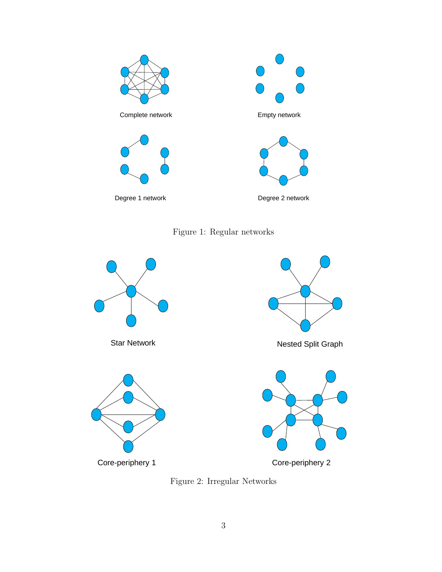





Figure 2: Irregular Networks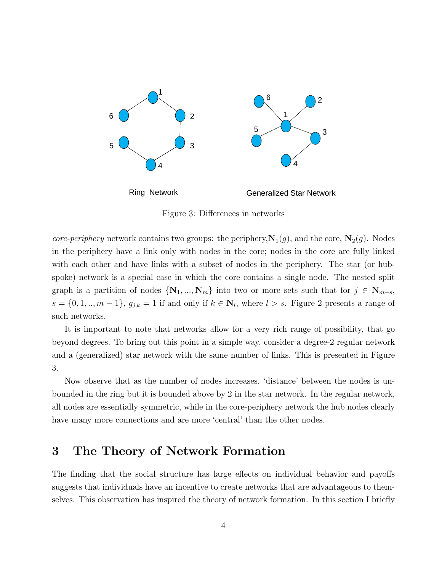

Figure 3: Differences in networks

*core-periphery* network contains two groups: the periphery,  $N_1(q)$ , and the core,  $N_2(q)$ . Nodes in the periphery have a link only with nodes in the core; nodes in the core are fully linked with each other and have links with a subset of nodes in the periphery. The star (or hubspoke) network is a special case in which the core contains a single node. The nested split graph is a partition of nodes  $\{N_1, ..., N_m\}$  into two or more sets such that for  $j \in N_{m-s}$ ,  $s = \{0, 1, ..., m-1\}, g_{j,k} = 1$  if and only if  $k \in \mathbb{N}_l$ , where  $l > s$ . Figure 2 presents a range of such networks.

It is important to note that networks allow for a very rich range of possibility, that go beyond degrees. To bring out this point in a simple way, consider a degree-2 regular network and a (generalized) star network with the same number of links. This is presented in Figure 3.

Now observe that as the number of nodes increases, 'distance' between the nodes is unbounded in the ring but it is bounded above by 2 in the star network. In the regular network, all nodes are essentially symmetric, while in the core-periphery network the hub nodes clearly have many more connections and are more 'central' than the other nodes.

## 3 The Theory of Network Formation

The finding that the social structure has large effects on individual behavior and payoffs suggests that individuals have an incentive to create networks that are advantageous to themselves. This observation has inspired the theory of network formation. In this section I briefly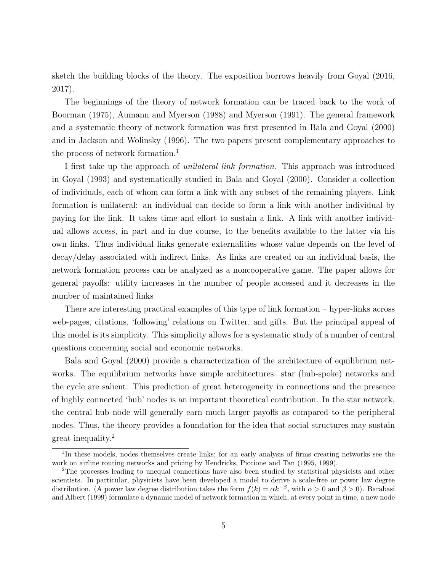sketch the building blocks of the theory. The exposition borrows heavily from Goyal (2016, 2017).

The beginnings of the theory of network formation can be traced back to the work of Boorman (1975), Aumann and Myerson (1988) and Myerson (1991). The general framework and a systematic theory of network formation was first presented in Bala and Goyal (2000) and in Jackson and Wolinsky (1996). The two papers present complementary approaches to the process of network formation.<sup>1</sup>

I first take up the approach of *unilateral link formation*. This approach was introduced in Goyal (1993) and systematically studied in Bala and Goyal (2000). Consider a collection of individuals, each of whom can form a link with any subset of the remaining players. Link formation is unilateral: an individual can decide to form a link with another individual by paying for the link. It takes time and effort to sustain a link. A link with another individual allows access, in part and in due course, to the benefits available to the latter via his own links. Thus individual links generate externalities whose value depends on the level of decay/delay associated with indirect links. As links are created on an individual basis, the network formation process can be analyzed as a noncooperative game. The paper allows for general payoffs: utility increases in the number of people accessed and it decreases in the number of maintained links

There are interesting practical examples of this type of link formation – hyper-links across web-pages, citations, 'following' relations on Twitter, and gifts. But the principal appeal of this model is its simplicity. This simplicity allows for a systematic study of a number of central questions concerning social and economic networks.

Bala and Goyal (2000) provide a characterization of the architecture of equilibrium networks. The equilibrium networks have simple architectures: star (hub-spoke) networks and the cycle are salient. This prediction of great heterogeneity in connections and the presence of highly connected 'hub' nodes is an important theoretical contribution. In the star network, the central hub node will generally earn much larger payoffs as compared to the peripheral nodes. Thus, the theory provides a foundation for the idea that social structures may sustain great inequality.<sup>2</sup>

<sup>&</sup>lt;sup>1</sup>In these models, nodes themselves create links; for an early analysis of firms creating networks see the work on airline routing networks and pricing by Hendricks, Piccione and Tan (1995, 1999).

<sup>2</sup>The processes leading to unequal connections have also been studied by statistical physicists and other scientists. In particular, physicists have been developed a model to derive a scale-free or power law degree distribution. (A power law degree distribution takes the form  $f(k) = \alpha k^{-\beta}$ , with  $\alpha > 0$  and  $\beta > 0$ ). Barabasi and Albert (1999) formulate a dynamic model of network formation in which, at every point in time, a new node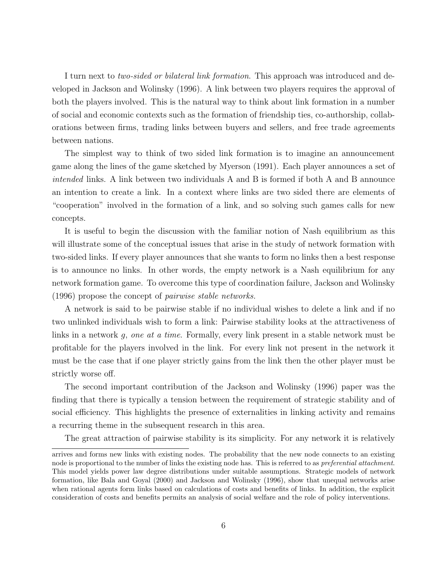I turn next to *two-sided or bilateral link formation*. This approach was introduced and developed in Jackson and Wolinsky (1996). A link between two players requires the approval of both the players involved. This is the natural way to think about link formation in a number of social and economic contexts such as the formation of friendship ties, co-authorship, collaborations between firms, trading links between buyers and sellers, and free trade agreements between nations.

The simplest way to think of two sided link formation is to imagine an announcement game along the lines of the game sketched by Myerson (1991). Each player announces a set of intended links. A link between two individuals A and B is formed if both A and B announce an intention to create a link. In a context where links are two sided there are elements of "cooperation" involved in the formation of a link, and so solving such games calls for new concepts.

It is useful to begin the discussion with the familiar notion of Nash equilibrium as this will illustrate some of the conceptual issues that arise in the study of network formation with two-sided links. If every player announces that she wants to form no links then a best response is to announce no links. In other words, the empty network is a Nash equilibrium for any network formation game. To overcome this type of coordination failure, Jackson and Wolinsky (1996) propose the concept of pairwise stable networks.

A network is said to be pairwise stable if no individual wishes to delete a link and if no two unlinked individuals wish to form a link: Pairwise stability looks at the attractiveness of links in a network g, one at a time. Formally, every link present in a stable network must be profitable for the players involved in the link. For every link not present in the network it must be the case that if one player strictly gains from the link then the other player must be strictly worse off.

The second important contribution of the Jackson and Wolinsky (1996) paper was the finding that there is typically a tension between the requirement of strategic stability and of social efficiency. This highlights the presence of externalities in linking activity and remains a recurring theme in the subsequent research in this area.

The great attraction of pairwise stability is its simplicity. For any network it is relatively

arrives and forms new links with existing nodes. The probability that the new node connects to an existing node is proportional to the number of links the existing node has. This is referred to as *preferential attachment*. This model yields power law degree distributions under suitable assumptions. Strategic models of network formation, like Bala and Goyal (2000) and Jackson and Wolinsky (1996), show that unequal networks arise when rational agents form links based on calculations of costs and benefits of links. In addition, the explicit consideration of costs and benefits permits an analysis of social welfare and the role of policy interventions.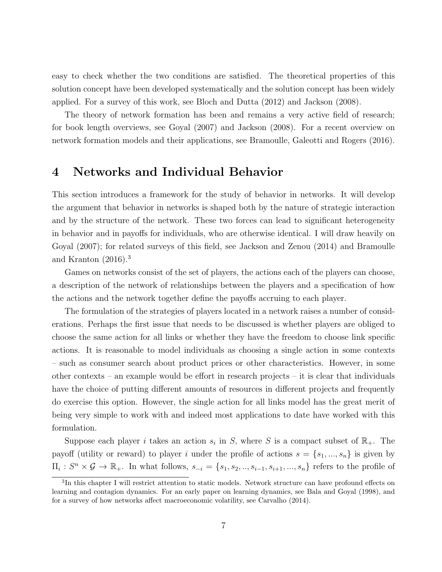easy to check whether the two conditions are satisfied. The theoretical properties of this solution concept have been developed systematically and the solution concept has been widely applied. For a survey of this work, see Bloch and Dutta (2012) and Jackson (2008).

The theory of network formation has been and remains a very active field of research; for book length overviews, see Goyal (2007) and Jackson (2008). For a recent overview on network formation models and their applications, see Bramoulle, Galeotti and Rogers (2016).

### 4 Networks and Individual Behavior

This section introduces a framework for the study of behavior in networks. It will develop the argument that behavior in networks is shaped both by the nature of strategic interaction and by the structure of the network. These two forces can lead to significant heterogeneity in behavior and in payoffs for individuals, who are otherwise identical. I will draw heavily on Goyal (2007); for related surveys of this field, see Jackson and Zenou (2014) and Bramoulle and Kranton (2016).<sup>3</sup>

Games on networks consist of the set of players, the actions each of the players can choose, a description of the network of relationships between the players and a specification of how the actions and the network together define the payoffs accruing to each player.

The formulation of the strategies of players located in a network raises a number of considerations. Perhaps the first issue that needs to be discussed is whether players are obliged to choose the same action for all links or whether they have the freedom to choose link specific actions. It is reasonable to model individuals as choosing a single action in some contexts – such as consumer search about product prices or other characteristics. However, in some other contexts – an example would be effort in research projects – it is clear that individuals have the choice of putting different amounts of resources in different projects and frequently do exercise this option. However, the single action for all links model has the great merit of being very simple to work with and indeed most applications to date have worked with this formulation.

Suppose each player i takes an action  $s_i$  in S, where S is a compact subset of  $\mathbb{R}_+$ . The payoff (utility or reward) to player i under the profile of actions  $s = \{s_1, ..., s_n\}$  is given by  $\Pi_i: S^n \times \mathcal{G} \to \mathbb{R}_+$ . In what follows,  $s_{-i} = \{s_1, s_2, ..., s_{i-1}, s_{i+1}, ..., s_n\}$  refers to the profile of

<sup>&</sup>lt;sup>3</sup>In this chapter I will restrict attention to static models. Network structure can have profound effects on learning and contagion dynamics. For an early paper on learning dynamics, see Bala and Goyal (1998), and for a survey of how networks affect macroeconomic volatility, see Carvalho (2014).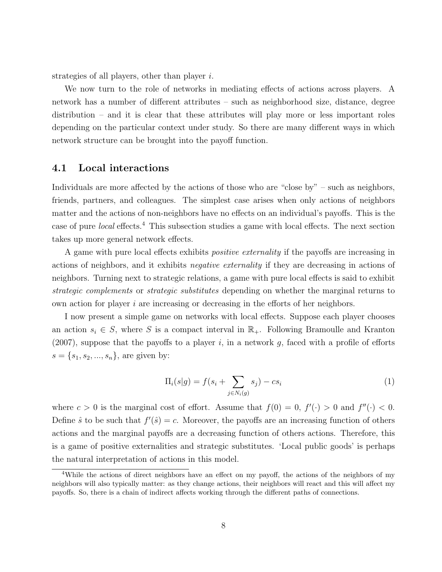strategies of all players, other than player i.

We now turn to the role of networks in mediating effects of actions across players. A network has a number of different attributes – such as neighborhood size, distance, degree distribution – and it is clear that these attributes will play more or less important roles depending on the particular context under study. So there are many different ways in which network structure can be brought into the payoff function.

#### 4.1 Local interactions

Individuals are more affected by the actions of those who are "close by" – such as neighbors, friends, partners, and colleagues. The simplest case arises when only actions of neighbors matter and the actions of non-neighbors have no effects on an individual's payoffs. This is the case of pure local effects.<sup>4</sup> This subsection studies a game with local effects. The next section takes up more general network effects.

A game with pure local effects exhibits *positive externality* if the payoffs are increasing in actions of neighbors, and it exhibits negative externality if they are decreasing in actions of neighbors. Turning next to strategic relations, a game with pure local effects is said to exhibit strategic complements or strategic substitutes depending on whether the marginal returns to own action for player  $i$  are increasing or decreasing in the efforts of her neighbors.

I now present a simple game on networks with local effects. Suppose each player chooses an action  $s_i \in S$ , where S is a compact interval in  $\mathbb{R}_+$ . Following Bramoulle and Kranton (2007), suppose that the payoffs to a player i, in a network g, faced with a profile of efforts  $s = \{s_1, s_2, ..., s_n\}$ , are given by:

$$
\Pi_i(s|g) = f(s_i + \sum_{j \in N_i(g)} s_j) - cs_i \tag{1}
$$

where  $c > 0$  is the marginal cost of effort. Assume that  $f(0) = 0, f'(\cdot) > 0$  and  $f''(\cdot) < 0$ . Define  $\hat{s}$  to be such that  $f'(\hat{s}) = c$ . Moreover, the payoffs are an increasing function of others actions and the marginal payoffs are a decreasing function of others actions. Therefore, this is a game of positive externalities and strategic substitutes. 'Local public goods' is perhaps the natural interpretation of actions in this model.

<sup>4</sup>While the actions of direct neighbors have an effect on my payoff, the actions of the neighbors of my neighbors will also typically matter: as they change actions, their neighbors will react and this will affect my payoffs. So, there is a chain of indirect affects working through the different paths of connections.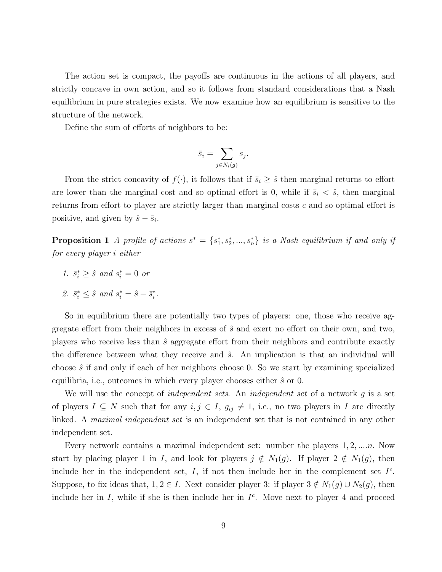The action set is compact, the payoffs are continuous in the actions of all players, and strictly concave in own action, and so it follows from standard considerations that a Nash equilibrium in pure strategies exists. We now examine how an equilibrium is sensitive to the structure of the network.

Define the sum of efforts of neighbors to be:

$$
\bar{s}_i = \sum_{j \in N_i(g)} s_j.
$$

From the strict concavity of  $f(\cdot)$ , it follows that if  $\bar{s}_i \geq \hat{s}$  then marginal returns to effort are lower than the marginal cost and so optimal effort is 0, while if  $\bar{s}_i < \hat{s}$ , then marginal returns from effort to player are strictly larger than marginal costs c and so optimal effort is positive, and given by  $\hat{s} - \bar{s}_i$ .

**Proposition 1** A profile of actions  $s^* = \{s_1^*, s_2^*, ..., s_n^*\}$  is a Nash equilibrium if and only if for every player i either

- 1.  $\bar{s}_i^* \geq \hat{s}$  and  $s_i^* = 0$  or
- 2.  $\bar{s}_i^* \leq \hat{s}$  and  $s_i^* = \hat{s} \bar{s}_i^*$ .

So in equilibrium there are potentially two types of players: one, those who receive aggregate effort from their neighbors in excess of  $\hat{s}$  and exert no effort on their own, and two, players who receive less than  $\hat{s}$  aggregate effort from their neighbors and contribute exactly the difference between what they receive and  $\hat{s}$ . An implication is that an individual will choose  $\hat{s}$  if and only if each of her neighbors choose 0. So we start by examining specialized equilibria, i.e., outcomes in which every player chooses either  $\hat{s}$  or 0.

We will use the concept of *independent sets*. An *independent set* of a network g is a set of players  $I \subseteq N$  such that for any  $i, j \in I$ ,  $g_{ij} \neq 1$ , i.e., no two players in I are directly linked. A maximal independent set is an independent set that is not contained in any other independent set.

Every network contains a maximal independent set: number the players  $1, 2, \ldots n$ . Now start by placing player 1 in I, and look for players  $j \notin N_1(g)$ . If player  $2 \notin N_1(g)$ , then include her in the independent set,  $I$ , if not then include her in the complement set  $I<sup>c</sup>$ . Suppose, to fix ideas that,  $1, 2 \in I$ . Next consider player 3: if player  $3 \notin N_1(g) \cup N_2(g)$ , then include her in I, while if she is then include her in  $I<sup>c</sup>$ . Move next to player 4 and proceed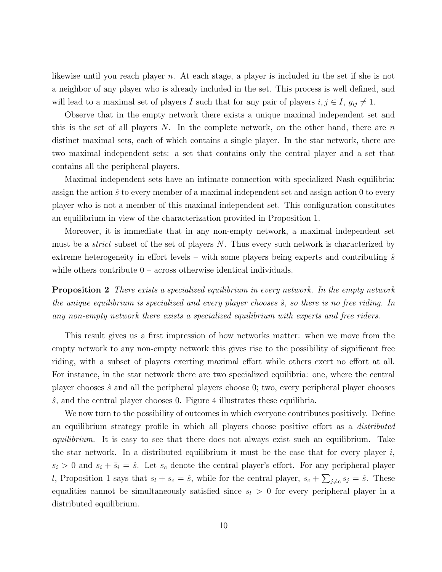likewise until you reach player n. At each stage, a player is included in the set if she is not a neighbor of any player who is already included in the set. This process is well defined, and will lead to a maximal set of players I such that for any pair of players  $i, j \in I$ ,  $g_{ij} \neq 1$ .

Observe that in the empty network there exists a unique maximal independent set and this is the set of all players  $N$ . In the complete network, on the other hand, there are  $n$ distinct maximal sets, each of which contains a single player. In the star network, there are two maximal independent sets: a set that contains only the central player and a set that contains all the peripheral players.

Maximal independent sets have an intimate connection with specialized Nash equilibria: assign the action  $\hat{s}$  to every member of a maximal independent set and assign action 0 to every player who is not a member of this maximal independent set. This configuration constitutes an equilibrium in view of the characterization provided in Proposition 1.

Moreover, it is immediate that in any non-empty network, a maximal independent set must be a *strict* subset of the set of players  $N$ . Thus every such network is characterized by extreme heterogeneity in effort levels – with some players being experts and contributing  $\hat{s}$ while others contribute  $0$  – across otherwise identical individuals.

**Proposition 2** There exists a specialized equilibrium in every network. In the empty network the unique equilibrium is specialized and every player chooses  $\hat{s}$ , so there is no free riding. In any non-empty network there exists a specialized equilibrium with experts and free riders.

This result gives us a first impression of how networks matter: when we move from the empty network to any non-empty network this gives rise to the possibility of significant free riding, with a subset of players exerting maximal effort while others exert no effort at all. For instance, in the star network there are two specialized equilibria: one, where the central player chooses  $\hat{s}$  and all the peripheral players choose 0; two, every peripheral player chooses  $\hat{s}$ , and the central player chooses 0. Figure 4 illustrates these equilibria.

We now turn to the possibility of outcomes in which everyone contributes positively. Define an equilibrium strategy profile in which all players choose positive effort as a distributed equilibrium. It is easy to see that there does not always exist such an equilibrium. Take the star network. In a distributed equilibrium it must be the case that for every player  $i$ ,  $s_i > 0$  and  $s_i + \bar{s}_i = \hat{s}$ . Let  $s_c$  denote the central player's effort. For any peripheral player l, Proposition 1 says that  $s_l + s_c = \hat{s}$ , while for the central player,  $s_c + \sum_{j \neq c} s_j = \hat{s}$ . These equalities cannot be simultaneously satisfied since  $s<sub>l</sub> > 0$  for every peripheral player in a distributed equilibrium.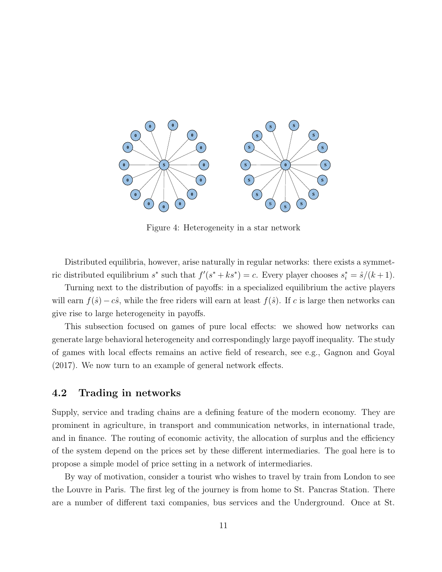

Figure 4: Heterogeneity in a star network

Distributed equilibria, however, arise naturally in regular networks: there exists a symmetric distributed equilibrium  $s^*$  such that  $f'(s^* + ks^*) = c$ . Every player chooses  $s_i^* = \frac{\hat{s}}{k+1}$ .

Turning next to the distribution of payoffs: in a specialized equilibrium the active players will earn  $f(\hat{s}) - c\hat{s}$ , while the free riders will earn at least  $f(\hat{s})$ . If c is large then networks can give rise to large heterogeneity in payoffs.

This subsection focused on games of pure local effects: we showed how networks can generate large behavioral heterogeneity and correspondingly large payoff inequality. The study of games with local effects remains an active field of research, see e.g., Gagnon and Goyal (2017). We now turn to an example of general network effects.

#### 4.2 Trading in networks

Supply, service and trading chains are a defining feature of the modern economy. They are prominent in agriculture, in transport and communication networks, in international trade, and in finance. The routing of economic activity, the allocation of surplus and the efficiency of the system depend on the prices set by these different intermediaries. The goal here is to propose a simple model of price setting in a network of intermediaries.

By way of motivation, consider a tourist who wishes to travel by train from London to see the Louvre in Paris. The first leg of the journey is from home to St. Pancras Station. There are a number of different taxi companies, bus services and the Underground. Once at St.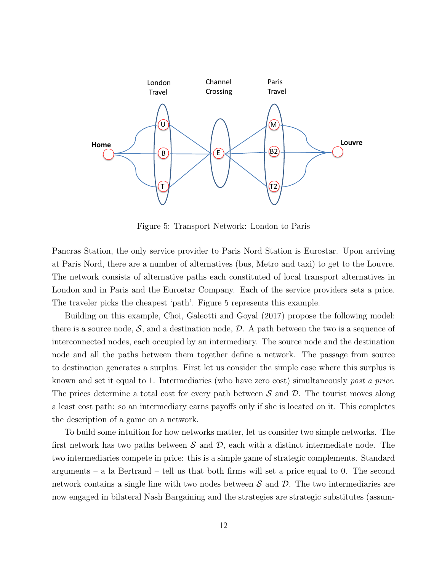

Figure 5: Transport Network: London to Paris

Pancras Station, the only service provider to Paris Nord Station is Eurostar. Upon arriving at Paris Nord, there are a number of alternatives (bus, Metro and taxi) to get to the Louvre. The network consists of alternative paths each constituted of local transport alternatives in London and in Paris and the Eurostar Company. Each of the service providers sets a price. The traveler picks the cheapest 'path'. Figure 5 represents this example.

Building on this example, Choi, Galeotti and Goyal (2017) propose the following model: there is a source node,  $S$ , and a destination node,  $D$ . A path between the two is a sequence of interconnected nodes, each occupied by an intermediary. The source node and the destination node and all the paths between them together define a network. The passage from source to destination generates a surplus. First let us consider the simple case where this surplus is known and set it equal to 1. Intermediaries (who have zero cost) simultaneously post a price. The prices determine a total cost for every path between  $S$  and  $D$ . The tourist moves along a least cost path: so an intermediary earns payoffs only if she is located on it. This completes the description of a game on a network.

To build some intuition for how networks matter, let us consider two simple networks. The first network has two paths between  $S$  and  $D$ , each with a distinct intermediate node. The two intermediaries compete in price: this is a simple game of strategic complements. Standard arguments – a la Bertrand – tell us that both firms will set a price equal to 0. The second network contains a single line with two nodes between  $S$  and  $D$ . The two intermediaries are now engaged in bilateral Nash Bargaining and the strategies are strategic substitutes (assum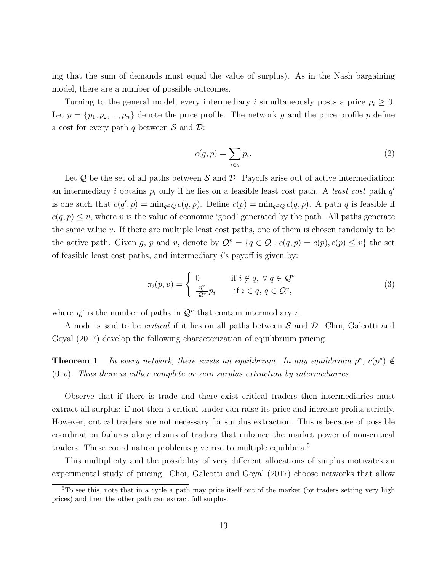ing that the sum of demands must equal the value of surplus). As in the Nash bargaining model, there are a number of possible outcomes.

Turning to the general model, every intermediary i simultaneously posts a price  $p_i \geq 0$ . Let  $p = \{p_1, p_2, ..., p_n\}$  denote the price profile. The network g and the price profile p define a cost for every path q between  $S$  and  $D$ :

$$
c(q, p) = \sum_{i \in q} p_i.
$$
\n<sup>(2)</sup>

Let  $\mathcal Q$  be the set of all paths between S and D. Payoffs arise out of active intermediation: an intermediary i obtains  $p_i$  only if he lies on a feasible least cost path. A least cost path  $q'$ is one such that  $c(q', p) = \min_{q \in \mathcal{Q}} c(q, p)$ . Define  $c(p) = \min_{q \in \mathcal{Q}} c(q, p)$ . A path q is feasible if  $c(q, p) \leq v$ , where v is the value of economic 'good' generated by the path. All paths generate the same value  $v$ . If there are multiple least cost paths, one of them is chosen randomly to be the active path. Given g, p and v, denote by  $\mathcal{Q}^v = \{q \in \mathcal{Q} : c(q, p) = c(p), c(p) \le v\}$  the set of feasible least cost paths, and intermediary i's payoff is given by:

$$
\pi_i(p, v) = \begin{cases} 0 & \text{if } i \notin q, \ \forall q \in \mathcal{Q}^v \\ \frac{\eta_i^v}{|\mathcal{Q}^v|} p_i & \text{if } i \in q, \ q \in \mathcal{Q}^v, \end{cases}
$$
\n
$$
(3)
$$

where  $\eta_i^v$  is the number of paths in  $\mathcal{Q}^v$  that contain intermediary *i*.

A node is said to be *critical* if it lies on all paths between  $S$  and  $D$ . Choi, Galeotti and Goyal (2017) develop the following characterization of equilibrium pricing.

**Theorem 1** In every network, there exists an equilibrium. In any equilibrium  $p^*$ ,  $c(p^*) \notin$  $(0, v)$ . Thus there is either complete or zero surplus extraction by intermediaries.

Observe that if there is trade and there exist critical traders then intermediaries must extract all surplus: if not then a critical trader can raise its price and increase profits strictly. However, critical traders are not necessary for surplus extraction. This is because of possible coordination failures along chains of traders that enhance the market power of non-critical traders. These coordination problems give rise to multiple equilibria.<sup>5</sup>

This multiplicity and the possibility of very different allocations of surplus motivates an experimental study of pricing. Choi, Galeotti and Goyal (2017) choose networks that allow

<sup>&</sup>lt;sup>5</sup>To see this, note that in a cycle a path may price itself out of the market (by traders setting very high prices) and then the other path can extract full surplus.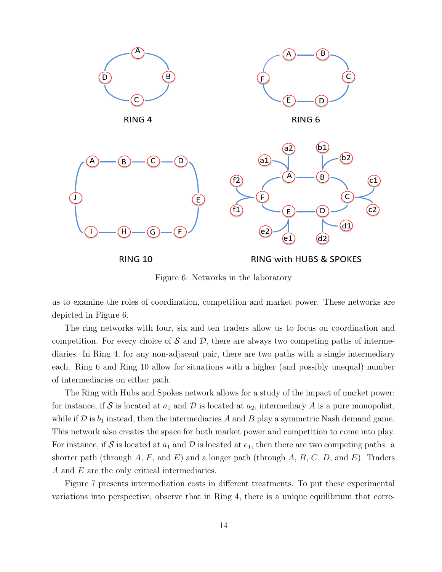

Figure 6: Networks in the laboratory

us to examine the roles of coordination, competition and market power. These networks are depicted in Figure 6.

The ring networks with four, six and ten traders allow us to focus on coordination and competition. For every choice of  $S$  and  $D$ , there are always two competing paths of intermediaries. In Ring 4, for any non-adjacent pair, there are two paths with a single intermediary each. Ring 6 and Ring 10 allow for situations with a higher (and possibly unequal) number of intermediaries on either path.

The Ring with Hubs and Spokes network allows for a study of the impact of market power: for instance, if S is located at  $a_1$  and D is located at  $a_2$ , intermediary A is a pure monopolist, while if  $D$  is  $b_1$  instead, then the intermediaries A and B play a symmetric Nash demand game. This network also creates the space for both market power and competition to come into play. For instance, if S is located at  $a_1$  and D is located at  $e_1$ , then there are two competing paths: a shorter path (through A, F, and E) and a longer path (through A, B, C, D, and E). Traders A and E are the only critical intermediaries.

Figure 7 presents intermediation costs in different treatments. To put these experimental variations into perspective, observe that in Ring 4, there is a unique equilibrium that corre-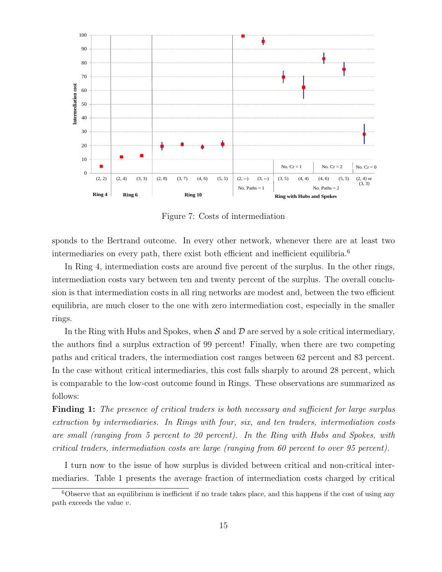

Figure 7: Costs of intermediation

sponds to the Bertrand outcome. In every other network, whenever there are at least two intermediaries on every path, there exist both efficient and inefficient equilibria.<sup>6</sup>

In Ring 4, intermediation costs are around five percent of the surplus. In the other rings, intermediation costs vary between ten and twenty percent of the surplus. The overall conclusion is that intermediation costs in all ring networks are modest and, between the two efficient equilibria, are much closer to the one with zero intermediation cost, especially in the smaller rings.

In the Ring with Hubs and Spokes, when S and D are served by a sole critical intermediary, the authors find a surplus extraction of 99 percent! Finally, when there are two competing paths and critical traders, the intermediation cost ranges between 62 percent and 83 percent. In the case without critical intermediaries, this cost falls sharply to around 28 percent, which is comparable to the low-cost outcome found in Rings. These observations are summarized as follows:

Finding 1: The presence of critical traders is both necessary and sufficient for large surplus extraction by intermediaries. In Rings with four, six, and ten traders, intermediation costs are small (ranging from 5 percent to 20 percent). In the Ring with Hubs and Spokes, with critical traders, intermediation costs are large (ranging from 60 percent to over 95 percent).

I turn now to the issue of how surplus is divided between critical and non-critical intermediaries. Table 1 presents the average fraction of intermediation costs charged by critical

 $6$ Observe that an equilibrium is inefficient if no trade takes place, and this happens if the cost of using any path exceeds the value v.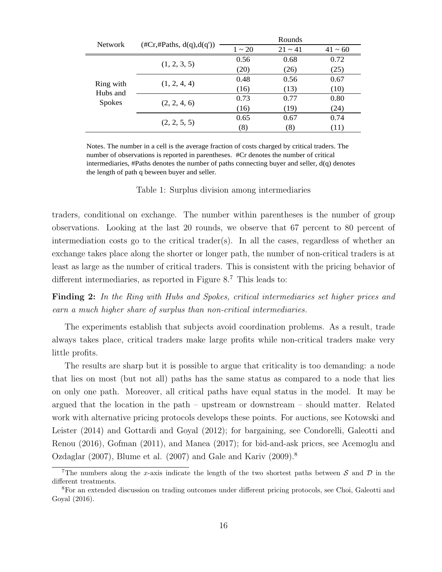| <b>Network</b>                         | $(\text{\#Cr}, \text{\#Paths}, d(q), d(q'))$ | Rounds      |           |                 |
|----------------------------------------|----------------------------------------------|-------------|-----------|-----------------|
|                                        |                                              | $1 \sim 20$ | $21 - 41$ | $41 \approx 60$ |
| Ring with<br>Hubs and<br><b>Spokes</b> | (1, 2, 3, 5)                                 | 0.56        | 0.68      | 0.72            |
|                                        |                                              | (20)        | (26)      | (25)            |
|                                        | (1, 2, 4, 4)                                 | 0.48        | 0.56      | 0.67            |
|                                        |                                              | (16)        | (13)      | (10)            |
|                                        | (2, 2, 4, 6)                                 | 0.73        | 0.77      | 0.80            |
|                                        |                                              | (16)        | (19)      | (24)            |
|                                        | (2, 2, 5, 5)                                 | 0.65        | 0.67      | 0.74            |
|                                        |                                              | (8)         | (8)       | (11)            |

Notes. The number in a cell is the average fraction of costs charged by critical traders. The number of observations is reported in parentheses. #Cr denotes the number of critical intermediaries, #Paths denotes the number of paths connecting buyer and seller,  $d(q)$  denotes the length of path q beween buyer and seller.

Table 1: Surplus division among intermediaries

traders, conditional on exchange. The number within parentheses is the number of group observations. Looking at the last 20 rounds, we observe that 67 percent to 80 percent of intermediation costs go to the critical trader(s). In all the cases, regardless of whether an exchange takes place along the shorter or longer path, the number of non-critical traders is at least as large as the number of critical traders. This is consistent with the pricing behavior of different intermediaries, as reported in Figure 8.<sup>7</sup> This leads to:

Finding 2: In the Ring with Hubs and Spokes, critical intermediaries set higher prices and earn a much higher share of surplus than non-critical intermediaries.

The experiments establish that subjects avoid coordination problems. As a result, trade always takes place, critical traders make large profits while non-critical traders make very little profits.

The results are sharp but it is possible to argue that criticality is too demanding: a node that lies on most (but not all) paths has the same status as compared to a node that lies on only one path. Moreover, all critical paths have equal status in the model. It may be argued that the location in the path – upstream or downstream – should matter. Related work with alternative pricing protocols develops these points. For auctions, see Kotowski and Leister (2014) and Gottardi and Goyal (2012); for bargaining, see Condorelli, Galeotti and Renou (2016), Gofman (2011), and Manea (2017); for bid-and-ask prices, see Acemoglu and Ozdaglar (2007), Blume et al. (2007) and Gale and Kariv (2009).<sup>8</sup>

<sup>&</sup>lt;sup>7</sup>The numbers along the x-axis indicate the length of the two shortest paths between  $S$  and  $D$  in the different treatments.

<sup>8</sup>For an extended discussion on trading outcomes under different pricing protocols, see Choi, Galeotti and Goyal (2016).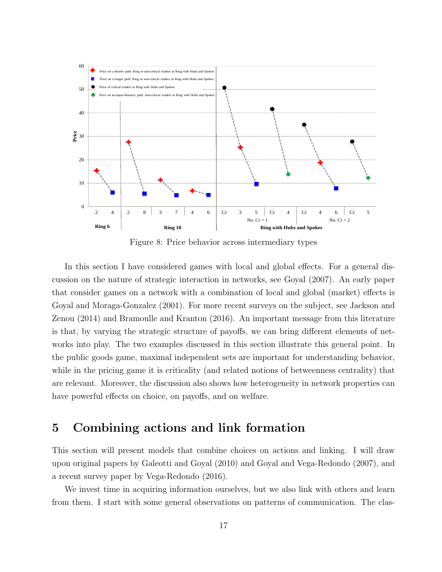

Figure 8: Price behavior across intermediary types

In this section I have considered games with local and global effects. For a general discussion on the nature of strategic interaction in networks, see Goyal (2007). An early paper that consider games on a network with a combination of local and global (market) effects is Goyal and Moraga-Gonzalez (2001). For more recent surveys on the subject, see Jackson and Zenou (2014) and Bramoulle and Kranton (2016). An important message from this literature is that, by varying the strategic structure of payoffs, we can bring different elements of networks into play. The two examples discussed in this section illustrate this general point. In the public goods game, maximal independent sets are important for understanding behavior, while in the pricing game it is criticality (and related notions of betweenness centrality) that are relevant. Moreover, the discussion also shows how heterogeneity in network properties can have powerful effects on choice, on payoffs, and on welfare.

## 5 Combining actions and link formation

This section will present models that combine choices on actions and linking. I will draw upon original papers by Galeotti and Goyal (2010) and Goyal and Vega-Redondo (2007), and a recent survey paper by Vega-Redondo (2016).

We invest time in acquiring information ourselves, but we also link with others and learn from them. I start with some general observations on patterns of communication. The clas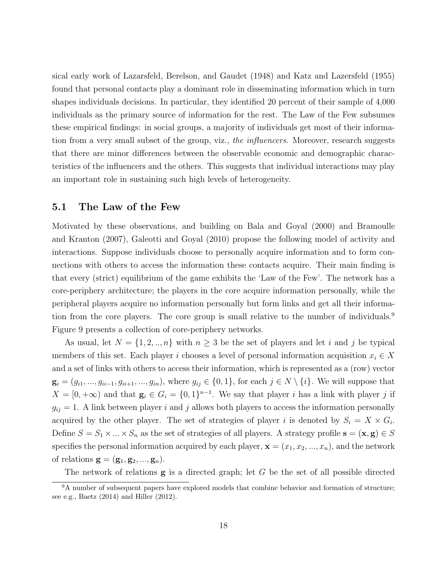sical early work of Lazarsfeld, Berelson, and Gaudet (1948) and Katz and Lazersfeld (1955) found that personal contacts play a dominant role in disseminating information which in turn shapes individuals decisions. In particular, they identified 20 percent of their sample of 4,000 individuals as the primary source of information for the rest. The Law of the Few subsumes these empirical findings: in social groups, a majority of individuals get most of their information from a very small subset of the group, viz., the *influencers*. Moreover, research suggests that there are minor differences between the observable economic and demographic characteristics of the influencers and the others. This suggests that individual interactions may play an important role in sustaining such high levels of heterogeneity.

#### 5.1 The Law of the Few

Motivated by these observations, and building on Bala and Goyal (2000) and Bramoulle and Kranton (2007), Galeotti and Goyal (2010) propose the following model of activity and interactions. Suppose individuals choose to personally acquire information and to form connections with others to access the information these contacts acquire. Their main finding is that every (strict) equilibrium of the game exhibits the 'Law of the Few'. The network has a core-periphery architecture; the players in the core acquire information personally, while the peripheral players acquire no information personally but form links and get all their information from the core players. The core group is small relative to the number of individuals.<sup>9</sup> Figure 9 presents a collection of core-periphery networks.

As usual, let  $N = \{1, 2, ..., n\}$  with  $n \geq 3$  be the set of players and let i and j be typical members of this set. Each player i chooses a level of personal information acquisition  $x_i \in X$ and a set of links with others to access their information, which is represented as a (row) vector  $\mathbf{g}_i = (g_{i1}, ..., g_{ii-1}, g_{ii+1}, ..., g_{in}),$  where  $g_{ij} \in \{0, 1\}$ , for each  $j \in N \setminus \{i\}.$  We will suppose that  $X = [0, +\infty)$  and that  $\mathbf{g}_i \in G_i = \{0, 1\}^{n-1}$ . We say that player i has a link with player j if  $g_{ij} = 1$ . A link between player i and j allows both players to access the information personally acquired by the other player. The set of strategies of player i is denoted by  $S_i = X \times G_i$ . Define  $S = S_1 \times ... \times S_n$  as the set of strategies of all players. A strategy profile  $\mathbf{s} = (\mathbf{x}, \mathbf{g}) \in S$ specifies the personal information acquired by each player,  $\mathbf{x} = (x_1, x_2, ..., x_n)$ , and the network of relations  $\mathbf{g} = (\mathbf{g}_1, \mathbf{g}_2, ..., \mathbf{g}_n).$ 

The network of relations  $g$  is a directed graph; let  $G$  be the set of all possible directed

<sup>&</sup>lt;sup>9</sup>A number of subsequent papers have explored models that combine behavior and formation of structure; see e.g., Baetz (2014) and Hiller (2012).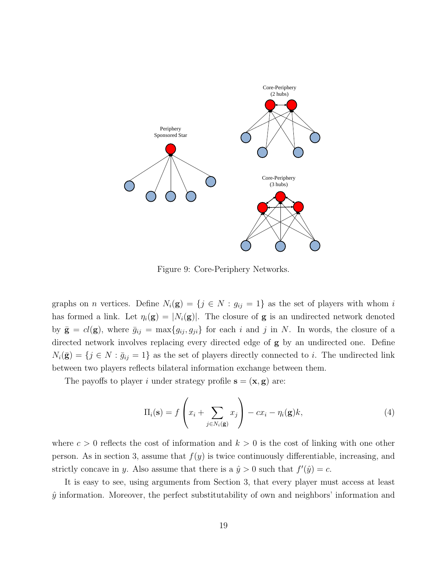

Figure 9: Core-Periphery Networks.

graphs on *n* vertices. Define  $N_i(\mathbf{g}) = \{j \in N : g_{ij} = 1\}$  as the set of players with whom i has formed a link. Let  $\eta_i(\mathbf{g}) = |N_i(\mathbf{g})|$ . The closure of **g** is an undirected network denoted by  $\bar{\mathbf{g}} = cl(\mathbf{g})$ , where  $\bar{g}_{ij} = \max\{g_{ij}, g_{ji}\}\$  for each i and j in N. In words, the closure of a directed network involves replacing every directed edge of g by an undirected one. Define  $N_i(\bar{\mathbf{g}}) = \{j \in N : \bar{g}_{ij} = 1\}$  as the set of players directly connected to i. The undirected link between two players reflects bilateral information exchange between them.

The payoffs to player i under strategy profile  $\mathbf{s} = (\mathbf{x}, \mathbf{g})$  are:

$$
\Pi_i(\mathbf{s}) = f\left(x_i + \sum_{j \in N_i(\bar{\mathbf{g}})} x_j\right) - cx_i - \eta_i(\mathbf{g})k,\tag{4}
$$

where  $c > 0$  reflects the cost of information and  $k > 0$  is the cost of linking with one other person. As in section 3, assume that  $f(y)$  is twice continuously differentiable, increasing, and strictly concave in y. Also assume that there is a  $\hat{y} > 0$  such that  $f'(\hat{y}) = c$ .

It is easy to see, using arguments from Section 3, that every player must access at least  $\hat{y}$  information. Moreover, the perfect substitutability of own and neighbors' information and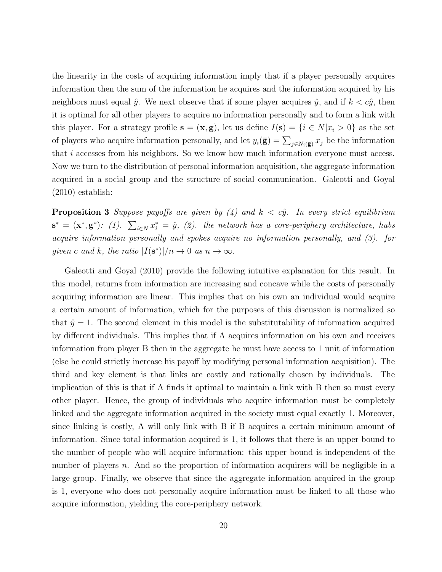the linearity in the costs of acquiring information imply that if a player personally acquires information then the sum of the information he acquires and the information acquired by his neighbors must equal  $\hat{y}$ . We next observe that if some player acquires  $\hat{y}$ , and if  $k < c\hat{y}$ , then it is optimal for all other players to acquire no information personally and to form a link with this player. For a strategy profile  $s = (x, g)$ , let us define  $I(s) = \{i \in N | x_i > 0\}$  as the set of players who acquire information personally, and let  $y_i(\bar{\mathbf{g}}) = \sum_{j \in N_i(\bar{\mathbf{g}})} x_j$  be the information that i accesses from his neighbors. So we know how much information everyone must access. Now we turn to the distribution of personal information acquisition, the aggregate information acquired in a social group and the structure of social communication. Galeotti and Goyal (2010) establish:

**Proposition 3** Suppose payoffs are given by  $(4)$  and  $k < c\hat{y}$ . In every strict equilibrium  $\mathbf{s}^* = (\mathbf{x}^*, \mathbf{g}^*)$ : (1).  $\sum_{i \in N} x_i^* = \hat{y}$ , (2). the network has a core-periphery architecture, hubs acquire information personally and spokes acquire no information personally, and (3). for given c and k, the ratio  $|I(\mathbf{s}^*)|/n \to 0$  as  $n \to \infty$ .

Galeotti and Goyal (2010) provide the following intuitive explanation for this result. In this model, returns from information are increasing and concave while the costs of personally acquiring information are linear. This implies that on his own an individual would acquire a certain amount of information, which for the purposes of this discussion is normalized so that  $\hat{y} = 1$ . The second element in this model is the substitutability of information acquired by different individuals. This implies that if A acquires information on his own and receives information from player B then in the aggregate he must have access to 1 unit of information (else he could strictly increase his payoff by modifying personal information acquisition). The third and key element is that links are costly and rationally chosen by individuals. The implication of this is that if A finds it optimal to maintain a link with B then so must every other player. Hence, the group of individuals who acquire information must be completely linked and the aggregate information acquired in the society must equal exactly 1. Moreover, since linking is costly, A will only link with B if B acquires a certain minimum amount of information. Since total information acquired is 1, it follows that there is an upper bound to the number of people who will acquire information: this upper bound is independent of the number of players n. And so the proportion of information acquirers will be negligible in a large group. Finally, we observe that since the aggregate information acquired in the group is 1, everyone who does not personally acquire information must be linked to all those who acquire information, yielding the core-periphery network.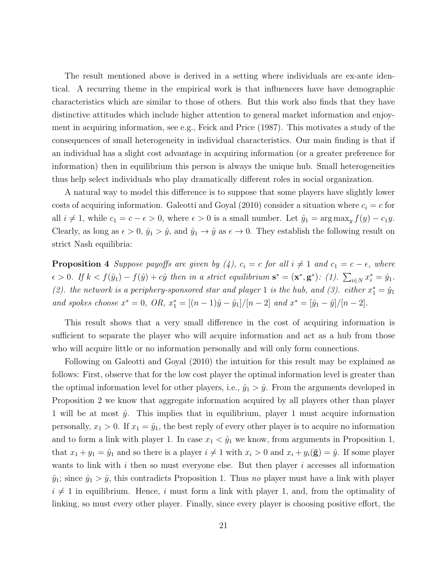The result mentioned above is derived in a setting where individuals are ex-ante identical. A recurring theme in the empirical work is that influencers have have demographic characteristics which are similar to those of others. But this work also finds that they have distinctive attitudes which include higher attention to general market information and enjoyment in acquiring information, see e.g., Feick and Price (1987). This motivates a study of the consequences of small heterogeneity in individual characteristics. Our main finding is that if an individual has a slight cost advantage in acquiring information (or a greater preference for information) then in equilibrium this person is always the unique hub. Small heterogeneities thus help select individuals who play dramatically different roles in social organization.

A natural way to model this difference is to suppose that some players have slightly lower costs of acquiring information. Galeotti and Goyal (2010) consider a situation where  $c_i = c$  for all  $i \neq 1$ , while  $c_1 = c - \epsilon > 0$ , where  $\epsilon > 0$  is a small number. Let  $\hat{y}_1 = \arg \max_y f(y) - c_1y$ . Clearly, as long as  $\epsilon > 0$ ,  $\hat{y}_1 > \hat{y}$ , and  $\hat{y}_1 \to \hat{y}$  as  $\epsilon \to 0$ . They establish the following result on strict Nash equilibria:

**Proposition 4** Suppose payoffs are given by (4),  $c_i = c$  for all  $i \neq 1$  and  $c_1 = c - \epsilon$ , where  $\epsilon > 0$ . If  $k < f(\hat{y}_1) - f(\hat{y}) + c\hat{y}$  then in a strict equilibrium  $\mathbf{s}^* = (\mathbf{x}^*, \mathbf{g}^*)$ : (1).  $\sum_{i \in N} x_i^* = \hat{y}_1$ . (2). the network is a periphery-sponsored star and player 1 is the hub, and (3). either  $x_1^* = \hat{y}_1$ and spokes choose  $x^* = 0$ ,  $OR$ ,  $x_1^* = [(n-1)\hat{y} - \hat{y}_1]/[n-2]$  and  $x^* = [\hat{y}_1 - \hat{y}]/[n-2]$ .

This result shows that a very small difference in the cost of acquiring information is sufficient to separate the player who will acquire information and act as a hub from those who will acquire little or no information personally and will only form connections.

Following on Galeotti and Goyal (2010) the intuition for this result may be explained as follows: First, observe that for the low cost player the optimal information level is greater than the optimal information level for other players, i.e.,  $\hat{y}_1 > \hat{y}$ . From the arguments developed in Proposition 2 we know that aggregate information acquired by all players other than player 1 will be at most  $\hat{y}$ . This implies that in equilibrium, player 1 must acquire information personally,  $x_1 > 0$ . If  $x_1 = \hat{y}_1$ , the best reply of every other player is to acquire no information and to form a link with player 1. In case  $x_1 < \hat{y}_1$  we know, from arguments in Proposition 1, that  $x_1 + y_1 = \hat{y}_1$  and so there is a player  $i \neq 1$  with  $x_i > 0$  and  $x_i + y_i(\bar{g}) = \hat{y}$ . If some player wants to link with  $i$  then so must everyone else. But then player  $i$  accesses all information  $\hat{y}_1$ ; since  $\hat{y}_1 > \hat{y}$ , this contradicts Proposition 1. Thus no player must have a link with player  $i \neq 1$  in equilibrium. Hence, i must form a link with player 1, and, from the optimality of linking, so must every other player. Finally, since every player is choosing positive effort, the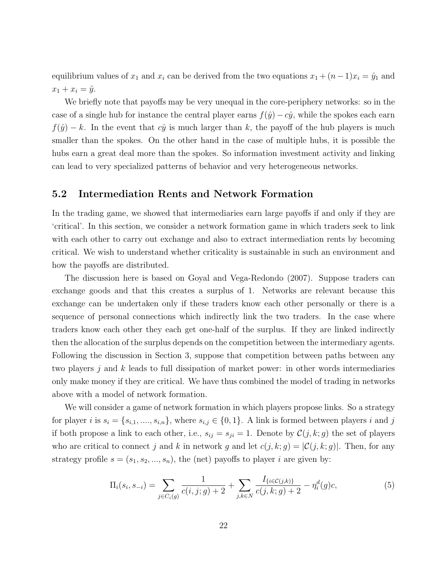equilibrium values of  $x_1$  and  $x_i$  can be derived from the two equations  $x_1 + (n-1)x_i = \hat{y}_1$  and  $x_1 + x_i = \hat{y}.$ 

We briefly note that payoffs may be very unequal in the core-periphery networks: so in the case of a single hub for instance the central player earns  $f(\hat{y}) - c\hat{y}$ , while the spokes each earn  $f(\hat{y}) - k$ . In the event that  $c\hat{y}$  is much larger than k, the payoff of the hub players is much smaller than the spokes. On the other hand in the case of multiple hubs, it is possible the hubs earn a great deal more than the spokes. So information investment activity and linking can lead to very specialized patterns of behavior and very heterogeneous networks.

#### 5.2 Intermediation Rents and Network Formation

In the trading game, we showed that intermediaries earn large payoffs if and only if they are 'critical'. In this section, we consider a network formation game in which traders seek to link with each other to carry out exchange and also to extract intermediation rents by becoming critical. We wish to understand whether criticality is sustainable in such an environment and how the payoffs are distributed.

The discussion here is based on Goyal and Vega-Redondo (2007). Suppose traders can exchange goods and that this creates a surplus of 1. Networks are relevant because this exchange can be undertaken only if these traders know each other personally or there is a sequence of personal connections which indirectly link the two traders. In the case where traders know each other they each get one-half of the surplus. If they are linked indirectly then the allocation of the surplus depends on the competition between the intermediary agents. Following the discussion in Section 3, suppose that competition between paths between any two players  $j$  and  $k$  leads to full dissipation of market power: in other words intermediaries only make money if they are critical. We have thus combined the model of trading in networks above with a model of network formation.

We will consider a game of network formation in which players propose links. So a strategy for player i is  $s_i = \{s_{i,1}, \ldots, s_{i,n}\}\$ , where  $s_{i,j} \in \{0,1\}\$ . A link is formed between players i and j if both propose a link to each other, i.e.,  $s_{ij} = s_{ji} = 1$ . Denote by  $\mathcal{C}(j, k; g)$  the set of players who are critical to connect j and k in network g and let  $c(j, k; g) = |\mathcal{C}(j, k; g)|$ . Then, for any strategy profile  $s = (s_1, s_2, ..., s_n)$ , the (net) payoffs to player *i* are given by:

$$
\Pi_i(s_i, s_{-i}) = \sum_{j \in C_i(g)} \frac{1}{c(i, j; g) + 2} + \sum_{j, k \in N} \frac{I_{\{i \in C(j, k)\}}}{c(j, k; g) + 2} - \eta_i^d(g)c,
$$
\n(5)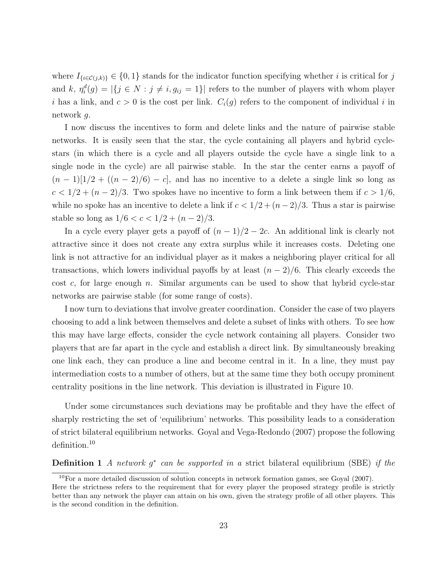where  $I_{\{i \in \mathcal{C}(j,k)\}} \in \{0,1\}$  stands for the indicator function specifying whether i is critical for j and k,  $\eta_i^d(g) = |\{j \in N : j \neq i, g_{ij} = 1\}|$  refers to the number of players with whom player i has a link, and  $c > 0$  is the cost per link.  $C_i(g)$  refers to the component of individual i in network g.

I now discuss the incentives to form and delete links and the nature of pairwise stable networks. It is easily seen that the star, the cycle containing all players and hybrid cyclestars (in which there is a cycle and all players outside the cycle have a single link to a single node in the cycle) are all pairwise stable. In the star the center earns a payoff of  $(n-1)[1/2 + ((n-2)/6) - c]$ , and has no incentive to a delete a single link so long as  $c < 1/2 + (n-2)/3$ . Two spokes have no incentive to form a link between them if  $c > 1/6$ , while no spoke has an incentive to delete a link if  $c < 1/2 + (n-2)/3$ . Thus a star is pairwise stable so long as  $1/6 < c < 1/2 + (n-2)/3$ .

In a cycle every player gets a payoff of  $(n - 1)/2 - 2c$ . An additional link is clearly not attractive since it does not create any extra surplus while it increases costs. Deleting one link is not attractive for an individual player as it makes a neighboring player critical for all transactions, which lowers individual payoffs by at least  $(n-2)/6$ . This clearly exceeds the cost c, for large enough n. Similar arguments can be used to show that hybrid cycle-star networks are pairwise stable (for some range of costs).

I now turn to deviations that involve greater coordination. Consider the case of two players choosing to add a link between themselves and delete a subset of links with others. To see how this may have large effects, consider the cycle network containing all players. Consider two players that are far apart in the cycle and establish a direct link. By simultaneously breaking one link each, they can produce a line and become central in it. In a line, they must pay intermediation costs to a number of others, but at the same time they both occupy prominent centrality positions in the line network. This deviation is illustrated in Figure 10.

Under some circumstances such deviations may be profitable and they have the effect of sharply restricting the set of 'equilibrium' networks. This possibility leads to a consideration of strict bilateral equilibrium networks. Goyal and Vega-Redondo (2007) propose the following definition.<sup>10</sup>

**Definition 1** A network  $g^*$  can be supported in a strict bilateral equilibrium (SBE) if the

 $10$ For a more detailed discussion of solution concepts in network formation games, see Goyal (2007). Here the strictness refers to the requirement that for every player the proposed strategy profile is strictly better than any network the player can attain on his own, given the strategy profile of all other players. This is the second condition in the definition.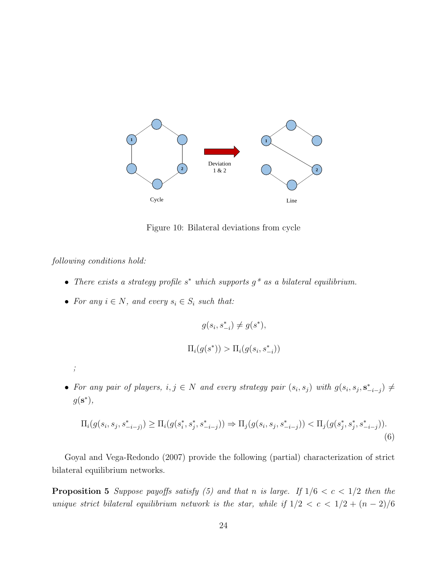

Figure 10: Bilateral deviations from cycle

following conditions hold:

- There exists a strategy profile  $s^*$  which supports  $g^*$  as a bilateral equilibrium.
- For any  $i \in N$ , and every  $s_i \in S_i$  such that:

 $g(s_i, s_{-i}^*) \neq g(s^*),$  $\Pi_i(g(s^*)) > \Pi_i(g(s_i, s_{-i}^*))$ 

- ;
- For any pair of players,  $i, j \in N$  and every strategy pair  $(s_i, s_j)$  with  $g(s_i, s_j, s_{-i-j}^*) \neq$  $g(\mathbf{s}^*)$ ,

$$
\Pi_i(g(s_i, s_j, s_{-i-j}^*) \ge \Pi_i(g(s_i^*, s_j^*, s_{-i-j}^*)) \Rightarrow \Pi_j(g(s_i, s_j, s_{-i-j}^*)) < \Pi_j(g(s_j^*, s_j^*, s_{-i-j}^*)).
$$
\n
$$
(6)
$$

Goyal and Vega-Redondo (2007) provide the following (partial) characterization of strict bilateral equilibrium networks.

**Proposition 5** Suppose payoffs satisfy (5) and that n is large. If  $1/6 < c < 1/2$  then the unique strict bilateral equilibrium network is the star, while if  $1/2 < c < 1/2 + (n - 2)/6$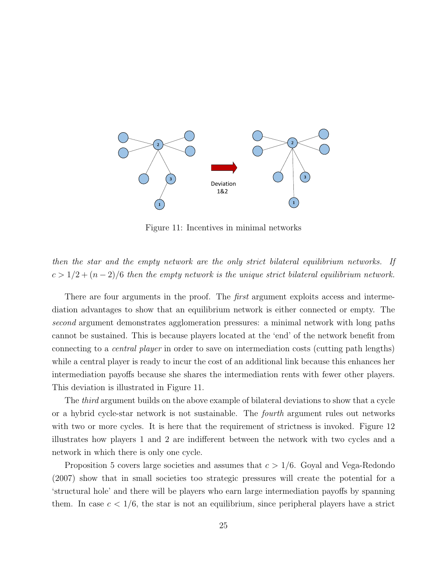

Figure 11: Incentives in minimal networks

then the star and the empty network are the only strict bilateral equilibrium networks. If  $c > 1/2 + (n-2)/6$  then the empty network is the unique strict bilateral equilibrium network.

There are four arguments in the proof. The *first* argument exploits access and intermediation advantages to show that an equilibrium network is either connected or empty. The second argument demonstrates agglomeration pressures: a minimal network with long paths cannot be sustained. This is because players located at the 'end' of the network benefit from connecting to a central player in order to save on intermediation costs (cutting path lengths) while a central player is ready to incur the cost of an additional link because this enhances her intermediation payoffs because she shares the intermediation rents with fewer other players. This deviation is illustrated in Figure 11.

The *third* argument builds on the above example of bilateral deviations to show that a cycle or a hybrid cycle-star network is not sustainable. The fourth argument rules out networks with two or more cycles. It is here that the requirement of strictness is invoked. Figure 12 illustrates how players 1 and 2 are indifferent between the network with two cycles and a network in which there is only one cycle.

Proposition 5 covers large societies and assumes that  $c > 1/6$ . Goyal and Vega-Redondo (2007) show that in small societies too strategic pressures will create the potential for a 'structural hole' and there will be players who earn large intermediation payoffs by spanning them. In case  $c < 1/6$ , the star is not an equilibrium, since peripheral players have a strict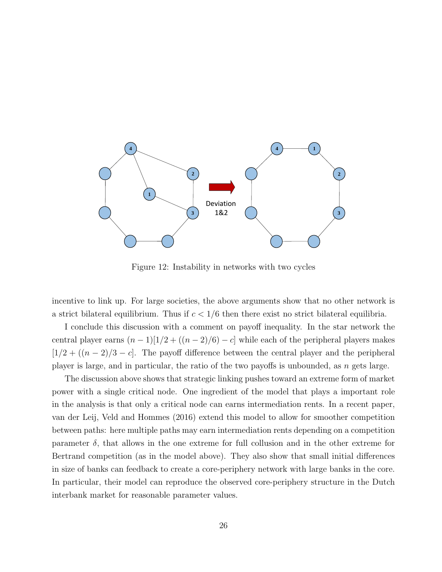

Figure 12: Instability in networks with two cycles

incentive to link up. For large societies, the above arguments show that no other network is a strict bilateral equilibrium. Thus if  $c < 1/6$  then there exist no strict bilateral equilibria.

I conclude this discussion with a comment on payoff inequality. In the star network the central player earns  $(n-1)(1/2 + ((n-2)/6) - c]$  while each of the peripheral players makes  $[1/2 + ((n-2)/3 - c]$ . The payoff difference between the central player and the peripheral player is large, and in particular, the ratio of the two payoffs is unbounded, as  $n$  gets large.

The discussion above shows that strategic linking pushes toward an extreme form of market power with a single critical node. One ingredient of the model that plays a important role in the analysis is that only a critical node can earns intermediation rents. In a recent paper, van der Leij, Veld and Hommes (2016) extend this model to allow for smoother competition between paths: here multiple paths may earn intermediation rents depending on a competition parameter  $\delta$ , that allows in the one extreme for full collusion and in the other extreme for Bertrand competition (as in the model above). They also show that small initial differences in size of banks can feedback to create a core-periphery network with large banks in the core. In particular, their model can reproduce the observed core-periphery structure in the Dutch interbank market for reasonable parameter values.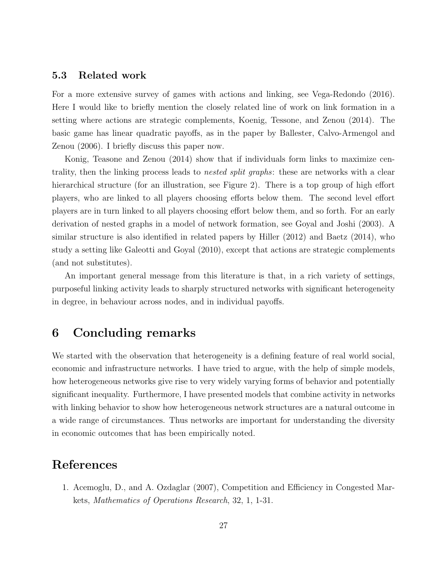#### 5.3 Related work

For a more extensive survey of games with actions and linking, see Vega-Redondo (2016). Here I would like to briefly mention the closely related line of work on link formation in a setting where actions are strategic complements, Koenig, Tessone, and Zenou (2014). The basic game has linear quadratic payoffs, as in the paper by Ballester, Calvo-Armengol and Zenou (2006). I briefly discuss this paper now.

Konig, Teasone and Zenou (2014) show that if individuals form links to maximize centrality, then the linking process leads to *nested split graphs*: these are networks with a clear hierarchical structure (for an illustration, see Figure 2). There is a top group of high effort players, who are linked to all players choosing efforts below them. The second level effort players are in turn linked to all players choosing effort below them, and so forth. For an early derivation of nested graphs in a model of network formation, see Goyal and Joshi (2003). A similar structure is also identified in related papers by Hiller (2012) and Baetz (2014), who study a setting like Galeotti and Goyal (2010), except that actions are strategic complements (and not substitutes).

An important general message from this literature is that, in a rich variety of settings, purposeful linking activity leads to sharply structured networks with significant heterogeneity in degree, in behaviour across nodes, and in individual payoffs.

## 6 Concluding remarks

We started with the observation that heterogeneity is a defining feature of real world social, economic and infrastructure networks. I have tried to argue, with the help of simple models, how heterogeneous networks give rise to very widely varying forms of behavior and potentially significant inequality. Furthermore, I have presented models that combine activity in networks with linking behavior to show how heterogeneous network structures are a natural outcome in a wide range of circumstances. Thus networks are important for understanding the diversity in economic outcomes that has been empirically noted.

## References

1. Acemoglu, D., and A. Ozdaglar (2007), Competition and Efficiency in Congested Markets, Mathematics of Operations Research, 32, 1, 1-31.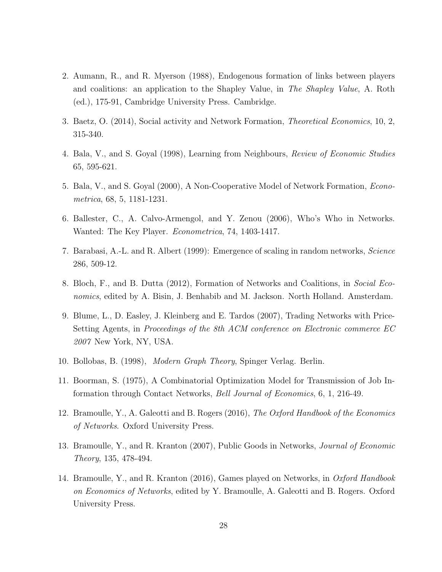- 2. Aumann, R., and R. Myerson (1988), Endogenous formation of links between players and coalitions: an application to the Shapley Value, in The Shapley Value, A. Roth (ed.), 175-91, Cambridge University Press. Cambridge.
- 3. Baetz, O. (2014), Social activity and Network Formation, Theoretical Economics, 10, 2, 315-340.
- 4. Bala, V., and S. Goyal (1998), Learning from Neighbours, Review of Economic Studies 65, 595-621.
- 5. Bala, V., and S. Goyal (2000), A Non-Cooperative Model of Network Formation, Econometrica, 68, 5, 1181-1231.
- 6. Ballester, C., A. Calvo-Armengol, and Y. Zenou (2006), Who's Who in Networks. Wanted: The Key Player. Econometrica, 74, 1403-1417.
- 7. Barabasi, A.-L. and R. Albert (1999): Emergence of scaling in random networks, Science 286, 509-12.
- 8. Bloch, F., and B. Dutta (2012), Formation of Networks and Coalitions, in Social Economics, edited by A. Bisin, J. Benhabib and M. Jackson. North Holland. Amsterdam.
- 9. Blume, L., D. Easley, J. Kleinberg and E. Tardos (2007), Trading Networks with Price-Setting Agents, in Proceedings of the 8th ACM conference on Electronic commerce EC 2007 New York, NY, USA.
- 10. Bollobas, B. (1998), Modern Graph Theory, Spinger Verlag. Berlin.
- 11. Boorman, S. (1975), A Combinatorial Optimization Model for Transmission of Job Information through Contact Networks, Bell Journal of Economics, 6, 1, 216-49.
- 12. Bramoulle, Y., A. Galeotti and B. Rogers (2016), The Oxford Handbook of the Economics of Networks. Oxford University Press.
- 13. Bramoulle, Y., and R. Kranton (2007), Public Goods in Networks, Journal of Economic Theory, 135, 478-494.
- 14. Bramoulle, Y., and R. Kranton (2016), Games played on Networks, in Oxford Handbook on Economics of Networks, edited by Y. Bramoulle, A. Galeotti and B. Rogers. Oxford University Press.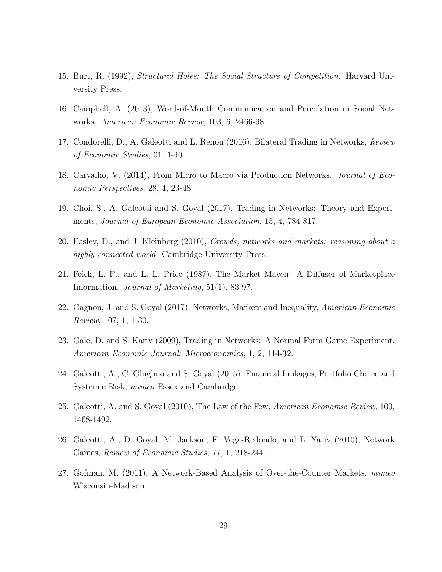- 15. Burt, R. (1992), Structural Holes: The Social Structure of Competition. Harvard University Press.
- 16. Campbell, A. (2013), Word-of-Mouth Communication and Percolation in Social Networks. American Economic Review, 103, 6, 2466-98.
- 17. Condorelli, D., A. Galeotti and L. Renou (2016), Bilateral Trading in Networks, Review of Economic Studies, 01, 1-40.
- 18. Carvalho, V. (2014), From Micro to Macro via Production Networks. Journal of Economic Perspectives, 28, 4, 23-48.
- 19. Choi, S., A. Galeotti and S. Goyal (2017), Trading in Networks: Theory and Experiments, Journal of European Economic Association, 15, 4, 784-817.
- 20. Easley, D., and J. Kleinberg (2010), Crowds, networks and markets: reasoning about a highly connected world. Cambridge University Press.
- 21. Feick, L. F., and L. L. Price (1987), The Market Maven: A Diffuser of Marketplace Information. Journal of Marketing, 51(1), 83-97.
- 22. Gagnon, J. and S. Goyal (2017), Networks, Markets and Inequality, American Economic Review, 107, 1, 1-30.
- 23. Gale, D. and S. Kariv (2009), Trading in Networks: A Normal Form Game Experiment. American Economic Journal: Microeconomics, 1, 2, 114-32.
- 24. Galeotti, A., C. Ghiglino and S. Goyal (2015), Financial Linkages, Portfolio Choice and Systemic Risk, mimeo Essex and Cambridge.
- 25. Galeotti, A. and S. Goyal (2010), The Law of the Few, American Economic Review, 100, 1468-1492.
- 26. Galeotti, A., D. Goyal, M. Jackson, F. Vega-Redondo, and L. Yariv (2010), Network Games, Review of Economic Studies, 77, 1, 218-244.
- 27. Gofman, M. (2011), A Network-Based Analysis of Over-the-Counter Markets, mimeo Wisconsin-Madison.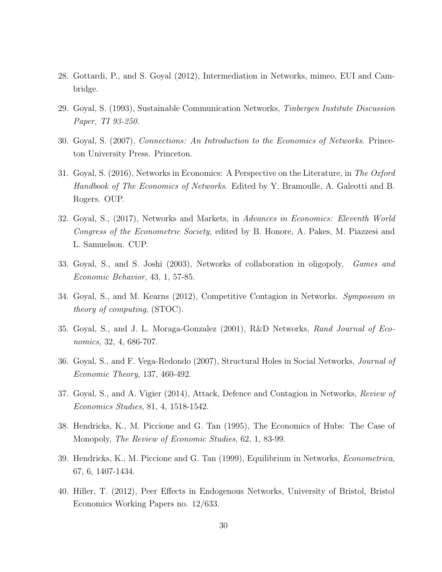- 28. Gottardi, P., and S. Goyal (2012), Intermediation in Networks, mimeo, EUI and Cambridge.
- 29. Goyal, S. (1993), Sustainable Communication Networks, Tinbergen Institute Discussion Paper, TI 93-250.
- 30. Goyal, S. (2007), Connections: An Introduction to the Economics of Networks. Princeton University Press. Princeton.
- 31. Goyal, S. (2016), Networks in Economics: A Perspective on the Literature, in The Oxford Handbook of The Economics of Networks. Edited by Y. Bramoulle, A. Galeotti and B. Rogers. OUP.
- 32. Goyal, S., (2017), Networks and Markets, in Advances in Economics: Eleventh World Congress of the Econometric Society, edited by B. Honore, A. Pakes, M. Piazzesi and L. Samuelson. CUP.
- 33. Goyal, S., and S. Joshi (2003), Networks of collaboration in oligopoly, Games and Economic Behavior, 43, 1, 57-85.
- 34. Goyal, S., and M. Kearns (2012), Competitive Contagion in Networks. Symposium in theory of computing, (STOC).
- 35. Goyal, S., and J. L. Moraga-Gonzalez (2001), R&D Networks, Rand Journal of Economics, 32, 4, 686-707.
- 36. Goyal, S., and F. Vega-Redondo (2007), Structural Holes in Social Networks, Journal of Economic Theory, 137, 460-492.
- 37. Goyal, S., and A. Vigier (2014), Attack, Defence and Contagion in Networks, Review of Economics Studies, 81, 4, 1518-1542.
- 38. Hendricks, K., M. Piccione and G. Tan (1995), The Economics of Hubs: The Case of Monopoly, The Review of Economic Studies, 62, 1, 83-99.
- 39. Hendricks, K., M. Piccione and G. Tan (1999), Equilibrium in Networks, Econometrica, 67, 6, 1407-1434.
- 40. Hiller, T. (2012), Peer Effects in Endogenous Networks, University of Bristol, Bristol Economics Working Papers no. 12/633.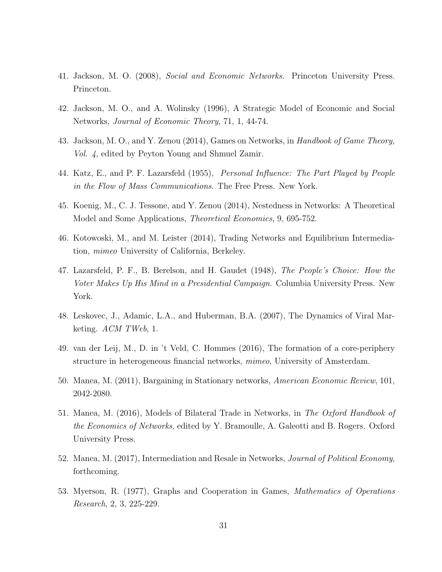- 41. Jackson, M. O. (2008), Social and Economic Networks. Princeton University Press. Princeton.
- 42. Jackson, M. O., and A. Wolinsky (1996), A Strategic Model of Economic and Social Networks, Journal of Economic Theory, 71, 1, 44-74.
- 43. Jackson, M. O., and Y. Zenou (2014), Games on Networks, in Handbook of Game Theory, Vol. 4, edited by Peyton Young and Shmuel Zamir.
- 44. Katz, E., and P. F. Lazarsfeld (1955), Personal Influence: The Part Played by People in the Flow of Mass Communications. The Free Press. New York.
- 45. Koenig, M., C. J. Tessone, and Y. Zenou (2014), Nestedness in Networks: A Theoretical Model and Some Applications, *Theoretical Economics*, 9, 695-752.
- 46. Kotowoski, M., and M. Leister (2014), Trading Networks and Equilibrium Intermediation, mimeo University of California, Berkeley.
- 47. Lazarsfeld, P. F., B. Berelson, and H. Gaudet (1948), The People's Choice: How the Voter Makes Up His Mind in a Presidential Campaign. Columbia University Press. New York.
- 48. Leskovec, J., Adamic, L.A., and Huberman, B.A. (2007), The Dynamics of Viral Marketing. ACM TWeb, 1.
- 49. van der Leij, M., D. in 't Veld, C. Hommes (2016), The formation of a core-periphery structure in heterogeneous financial networks, mimeo, University of Amsterdam.
- 50. Manea, M. (2011), Bargaining in Stationary networks, American Economic Review, 101, 2042-2080.
- 51. Manea, M. (2016), Models of Bilateral Trade in Networks, in The Oxford Handbook of the Economics of Networks, edited by Y. Bramoulle, A. Galeotti and B. Rogers. Oxford University Press.
- 52. Manea, M. (2017), Intermediation and Resale in Networks, Journal of Political Economy, forthcoming.
- 53. Myerson, R. (1977), Graphs and Cooperation in Games, Mathematics of Operations Research, 2, 3, 225-229.